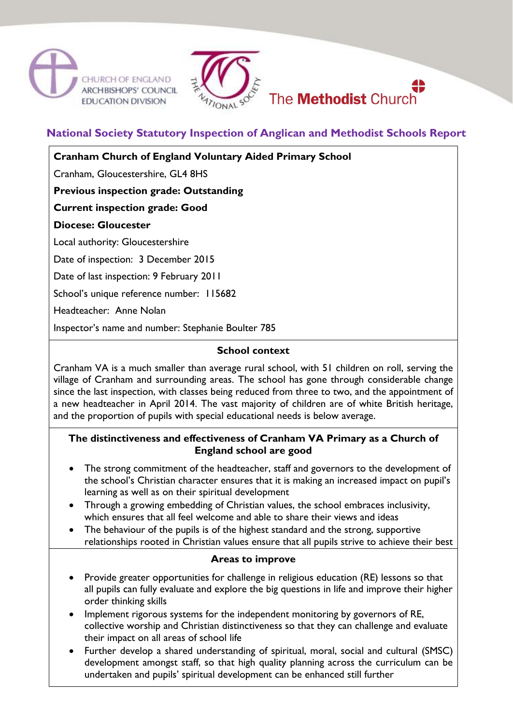





# **National Society Statutory Inspection of Anglican and Methodist Schools Report**

**Cranham Church of England Voluntary Aided Primary School**

Cranham, Gloucestershire, GL4 8HS

**Previous inspection grade: Outstanding**

**Current inspection grade: Good**

**Diocese: Gloucester**

Local authority: Gloucestershire

Date of inspection: 3 December 2015

Date of last inspection: 9 February 2011

School's unique reference number: 115682

Headteacher: Anne Nolan

Inspector's name and number: Stephanie Boulter 785

#### **School context**

Cranham VA is a much smaller than average rural school, with 51 children on roll, serving the village of Cranham and surrounding areas. The school has gone through considerable change since the last inspection, with classes being reduced from three to two, and the appointment of a new headteacher in April 2014. The vast majority of children are of white British heritage, and the proportion of pupils with special educational needs is below average.

### **The distinctiveness and effectiveness of Cranham VA Primary as a Church of England school are good**

- The strong commitment of the headteacher, staff and governors to the development of the school's Christian character ensures that it is making an increased impact on pupil's learning as well as on their spiritual development
- Through a growing embedding of Christian values, the school embraces inclusivity, which ensures that all feel welcome and able to share their views and ideas
- The behaviour of the pupils is of the highest standard and the strong, supportive relationships rooted in Christian values ensure that all pupils strive to achieve their best

#### **Areas to improve**

- Provide greater opportunities for challenge in religious education (RE) lessons so that all pupils can fully evaluate and explore the big questions in life and improve their higher order thinking skills
- Implement rigorous systems for the independent monitoring by governors of RE, collective worship and Christian distinctiveness so that they can challenge and evaluate their impact on all areas of school life
- Further develop a shared understanding of spiritual, moral, social and cultural (SMSC) development amongst staff, so that high quality planning across the curriculum can be undertaken and pupils' spiritual development can be enhanced still further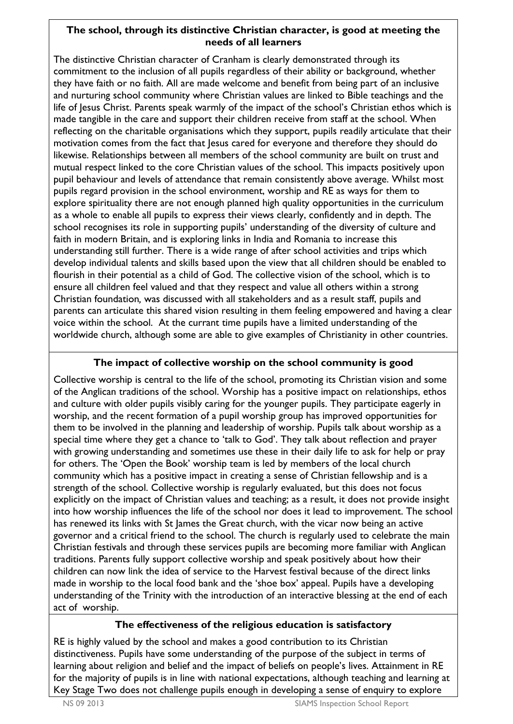## **The school, through its distinctive Christian character, is good at meeting the needs of all learners**

The distinctive Christian character of Cranham is clearly demonstrated through its commitment to the inclusion of all pupils regardless of their ability or background, whether they have faith or no faith. All are made welcome and benefit from being part of an inclusive and nurturing school community where Christian values are linked to Bible teachings and the life of Jesus Christ. Parents speak warmly of the impact of the school's Christian ethos which is made tangible in the care and support their children receive from staff at the school. When reflecting on the charitable organisations which they support, pupils readily articulate that their motivation comes from the fact that Jesus cared for everyone and therefore they should do likewise. Relationships between all members of the school community are built on trust and mutual respect linked to the core Christian values of the school. This impacts positively upon pupil behaviour and levels of attendance that remain consistently above average. Whilst most pupils regard provision in the school environment, worship and RE as ways for them to explore spirituality there are not enough planned high quality opportunities in the curriculum as a whole to enable all pupils to express their views clearly, confidently and in depth. The school recognises its role in supporting pupils' understanding of the diversity of culture and faith in modern Britain, and is exploring links in India and Romania to increase this understanding still further. There is a wide range of after school activities and trips which develop individual talents and skills based upon the view that all children should be enabled to flourish in their potential as a child of God. The collective vision of the school, which is to ensure all children feel valued and that they respect and value all others within a strong Christian foundation*,* was discussed with all stakeholders and as a result staff, pupils and parents can articulate this shared vision resulting in them feeling empowered and having a clear voice within the school. At the currant time pupils have a limited understanding of the worldwide church, although some are able to give examples of Christianity in other countries.

## **The impact of collective worship on the school community is good**

Collective worship is central to the life of the school, promoting its Christian vision and some of the Anglican traditions of the school. Worship has a positive impact on relationships, ethos and culture with older pupils visibly caring for the younger pupils. They participate eagerly in worship, and the recent formation of a pupil worship group has improved opportunities for them to be involved in the planning and leadership of worship. Pupils talk about worship as a special time where they get a chance to 'talk to God'. They talk about reflection and prayer with growing understanding and sometimes use these in their daily life to ask for help or pray for others. The 'Open the Book' worship team is led by members of the local church community which has a positive impact in creating a sense of Christian fellowship and is a strength of the school. Collective worship is regularly evaluated, but this does not focus explicitly on the impact of Christian values and teaching; as a result, it does not provide insight into how worship influences the life of the school nor does it lead to improvement. The school has renewed its links with St James the Great church, with the vicar now being an active governor and a critical friend to the school. The church is regularly used to celebrate the main Christian festivals and through these services pupils are becoming more familiar with Anglican traditions. Parents fully support collective worship and speak positively about how their children can now link the idea of service to the Harvest festival because of the direct links made in worship to the local food bank and the 'shoe box' appeal. Pupils have a developing understanding of the Trinity with the introduction of an interactive blessing at the end of each act of worship.

## **The effectiveness of the religious education is satisfactory**

RE is highly valued by the school and makes a good contribution to its Christian distinctiveness. Pupils have some understanding of the purpose of the subject in terms of learning about religion and belief and the impact of beliefs on people's lives. Attainment in RE for the majority of pupils is in line with national expectations, although teaching and learning at Key Stage Two does not challenge pupils enough in developing a sense of enquiry to explore